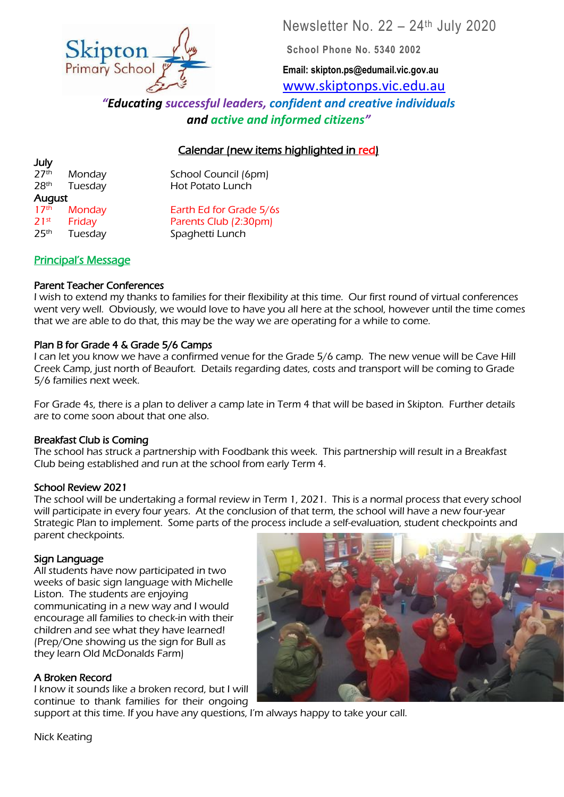Newsletter No. 22 – 24th July 2020

**School Phone No. 5340 2002**

**Email: skipton.ps@edumail.vic.gov.au** [www.skiptonps.vic.edu.au](http://www.skiptonps.vic.edu.au/)

*"Educating successful leaders, confident and creative individuals and active and informed citizens"*

## Calendar (new items highlighted in red)

July August

 $27<sup>th</sup>$  Monday School Council (6pm) 28<sup>th</sup> Tuesday Hot Potato Lunch

17<sup>th</sup> Monday **Earth Ed for Grade 5/6s**  $21^{st}$  Friday Parents Club (2:30pm)<br> $25^{th}$  Tuesdav Spaghetti Lunch 25th Tuesday Spaghetti Lunch

## Principal's Message

### Parent Teacher Conferences

I wish to extend my thanks to families for their flexibility at this time. Our first round of virtual conferences went very well. Obviously, we would love to have you all here at the school, however until the time comes that we are able to do that, this may be the way we are operating for a while to come.

#### Plan B for Grade 4 & Grade 5/6 Camps

I can let you know we have a confirmed venue for the Grade 5/6 camp. The new venue will be Cave Hill Creek Camp, just north of Beaufort. Details regarding dates, costs and transport will be coming to Grade 5/6 families next week.

For Grade 4s, there is a plan to deliver a camp late in Term 4 that will be based in Skipton. Further details are to come soon about that one also.

#### Breakfast Club is Coming

The school has struck a partnership with Foodbank this week. This partnership will result in a Breakfast Club being established and run at the school from early Term 4.

#### School Review 2021

The school will be undertaking a formal review in Term 1, 2021. This is a normal process that every school will participate in every four years. At the conclusion of that term, the school will have a new four-year Strategic Plan to implement. Some parts of the process include a self-evaluation, student checkpoints and parent checkpoints.

#### Sign Language

All students have now participated in two weeks of basic sign language with Michelle Liston. The students are enjoying communicating in a new way and I would encourage all families to check-in with their children and see what they have learned! (Prep/One showing us the sign for Bull as they learn Old McDonalds Farm)

### A Broken Record

I know it sounds like a broken record, but I will continue to thank families for their ongoing

support at this time. If you have any questions, I'm always happy to take your call.

Nick Keating